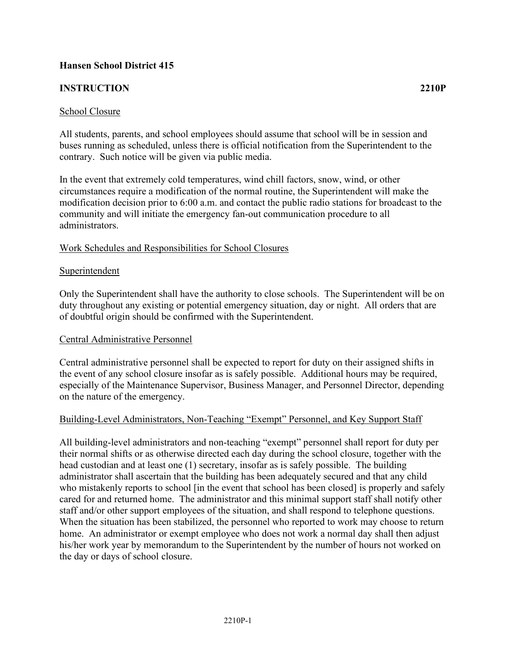# **Hansen School District 415**

### **INSTRUCTION 2210P**

All students, parents, and school employees should assume that school will be in session and buses running as scheduled, unless there is official notification from the Superintendent to the contrary. Such notice will be given via public media.

In the event that extremely cold temperatures, wind chill factors, snow, wind, or other circumstances require a modification of the normal routine, the Superintendent will make the modification decision prior to 6:00 a.m. and contact the public radio stations for broadcast to the community and will initiate the emergency fan-out communication procedure to all administrators.

### Work Schedules and Responsibilities for School Closures

#### **Superintendent**

Only the Superintendent shall have the authority to close schools. The Superintendent will be on duty throughout any existing or potential emergency situation, day or night. All orders that are of doubtful origin should be confirmed with the Superintendent.

### Central Administrative Personnel

Central administrative personnel shall be expected to report for duty on their assigned shifts in the event of any school closure insofar as is safely possible. Additional hours may be required, especially of the Maintenance Supervisor, Business Manager, and Personnel Director, depending on the nature of the emergency.

### Building-Level Administrators, Non-Teaching "Exempt" Personnel, and Key Support Staff

All building-level administrators and non-teaching "exempt" personnel shall report for duty per their normal shifts or as otherwise directed each day during the school closure, together with the head custodian and at least one (1) secretary, insofar as is safely possible. The building administrator shall ascertain that the building has been adequately secured and that any child who mistakenly reports to school [in the event that school has been closed] is properly and safely cared for and returned home. The administrator and this minimal support staff shall notify other staff and/or other support employees of the situation, and shall respond to telephone questions. When the situation has been stabilized, the personnel who reported to work may choose to return home. An administrator or exempt employee who does not work a normal day shall then adjust his/her work year by memorandum to the Superintendent by the number of hours not worked on the day or days of school closure.